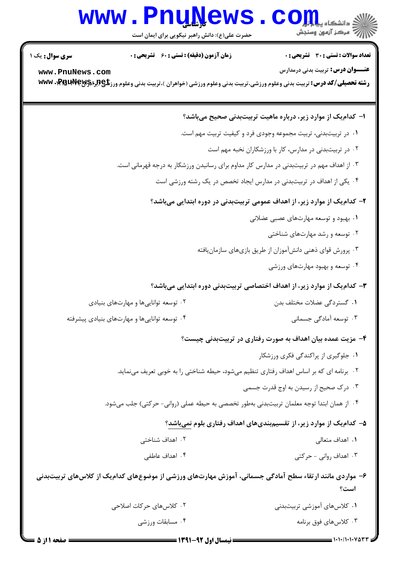## **www.PnuNews.com**

حضرت علی(ع): دانش راهبر نیکویی برای ایمان است

تعداد سوالات : تستى : 30 - تشريحي : 0 **زمان آزمون (دقیقه) : تستی : 60 ٪ تشریحی : 0 عنـــوان درس:** تربیت بدنی درمدارس www.PnuNews.com رشته تحصیلی/کد درس: تربیت بدنی وعلوم ورزشی،تربیت بدنی وعلوم ورزشی (خواهران )،تربیت بدنی وعلوم ورزگلچ۹۶۱٫۳۹۶ با www ا– کدامیک از موارد زیر، درباره ماهیت تربیتبدنی صحیح میباشد؟ ۰۱ در تربیتبدنی، تربیت مجموعه وجودی فرد و کیفیت تربیت مهم است. ۰۲ در تربیتبدنی در مدارس، کار با ورزشکاران نخبه مهم است ۰۳ از اهداف مهم در تربیتبدنی در مدارس کار مداوم برای رسانیدن ورزشکار به درجه قهرمانی است. ۰۴ یکی از اهداف در تربیتبدنی در مدارس ایجاد تخصص در یک رشته ورزشی است ۲– کدامیک از موارد زیر، از اهداف عمومی تربیتبدنی در دوره ابتدایی میباشد؟ ۰۱ بهبود و توسعه مهارتهای عصبی عضلانی ۰۲ توسعه و رشد مهارتهای شناختی ۰۳ پرورش قوای ذهنی دانشآموزان از طریق بازیهای سازمان یافته ۰۴ توسعه و بهبود مهارتهای ورزشی ۳- کدامیک از موارد زیر، از اهداف اختصاصی تربیتبدنی دوره ابتدایی میباشد؟ ۰۲ توسعه تواناییها و مهارتهای بنیادی ۰۱ گستردگی عضلات مختلف بدن ۰۴ توسعه توانایی ها و مهارتهای بنیادی پیشرفته ۰۳ توسعه آمادگی جسمانی ۴– مزیت عمده بیان اهداف به صورت رفتاری در تربیتبدنی چیست؟ ۰۱ جلوگیری از پراکندگی فکری ورزشکار ۰۲ برنامه ای که بر اساس اهداف رفتاری تنظیم می شود، حیطه شناختی را به خوبی تعریف می نماید. ۰۳ درک صحیح از رسیدن به اوج قدرت جسمی ۰۴ از همان ابتدا توجه معلمان تربیتبدنی بهطور تخصصی به حیطه عملی (روانی- حرکتی) جلب میشود. ۵– کدامیک از موارد زیر، از تقسیمبندیهای اهداف رفتاری بلوم نمیباشد؟ ٠١. اهداف متعالى ۰۲ اهداف شناختی ۰۴ اهداف عاطفی ۰۳ اهداف روانی - حرکتی ۶– مواردی مانند ارتقاء سطح آمادگی جسمانی، آموزش مهارتهای ورزشی از موضوعهای کدامیک از کلاسهای تربیتبدنی  $8.5$ ۲. کلاس های حرکات اصلاحی ۰۱ کلاس های آموز شی تربیتبدنی

۰۳ کلاس های فوق برنامه

۰۴ مسابقات ورزشی

**سری سوال :** یک ۱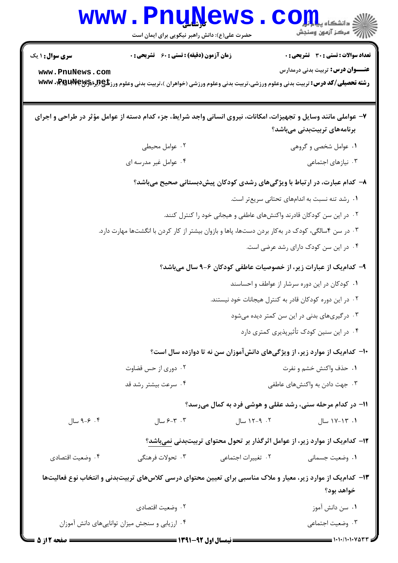## Www.PnuNews.com

حضرت علی(ع): دانش راهبر نیکویی برای ایمان است

**تعداد سوالات : تستی : 30 - تشریحی : 0** 

**زمان آزمون (دقیقه) : تستی : 60 تشریحی: 0** 

**سری سوال : ۱ یک** 

www.PnuNews.com

**عنـــوان درس:** تربیت بدنی درمدارس

رشته تحصیلی/کد درس: تربیت بدنی وعلوم ورزشی،تربیت بدنی وعلوم ورزشی (خواهران )،تربیت بدنی وعلوم ورزگلچ4برا\$PMUV، WWW

|                  | ۷- عواملی مانند وسایل و تجهیزات، امکانات، نیروی انسانی واجد شرایط، جزء کدام دسته از عوامل مؤثر در طراحی و اجرای |                                                                              | برنامەھای تربیتبدنی میباشد؟                    |
|------------------|-----------------------------------------------------------------------------------------------------------------|------------------------------------------------------------------------------|------------------------------------------------|
|                  |                                                                                                                 |                                                                              |                                                |
|                  | ۰۲ عوامل محیطی                                                                                                  |                                                                              | ۰۱ عوامل شخصی و گروهی                          |
|                  | ۰۴ عوامل غیر مدرسه ای                                                                                           |                                                                              | ۰۳ نیازهای اجتماعی                             |
|                  |                                                                                                                 | ۸- کدام عبارت، در ارتباط با ویژگیهای رشدی کودکان پیشدبستانی صحیح میباشد؟     |                                                |
|                  |                                                                                                                 |                                                                              | ۰۱ رشد تنه نسبت به اندامهای تحتانی سریعتر است. |
|                  |                                                                                                                 | ۰۲ در این سن کودکان قادرند واکنشهای عاطفی و هیجانی خود را کنترل کنند.        |                                                |
|                  | ۰۳ در سن ۴سالگی، کودک در بهکار بردن دستها، پاها و بازوان بیشتر از کار کردن با انگشتها مهارت دارد.               |                                                                              |                                                |
|                  |                                                                                                                 |                                                                              | ۰۴ در این سن کودک دارای رشد عرضی است.          |
|                  |                                                                                                                 | ۹– کدام یک از عبارات زیر، از خصوصیات عاطفی کودکان ۶–۹ سال میباشد؟            |                                                |
|                  |                                                                                                                 |                                                                              | ۰۱ کودکان در این دوره سرشار از عواطف و احساسند |
|                  |                                                                                                                 | ۰۲ در این دوره کودکان قادر به کنترل هیجانات خود نیستند.                      |                                                |
|                  |                                                                                                                 |                                                                              | ۰۳ درگیریهای بدنی در این سن کمتر دیده میشود    |
|                  |                                                                                                                 |                                                                              | ۰۴ در این سنین کودک تأثیرپذیری کمتری دارد      |
|                  |                                                                                                                 | ∙۱- کدامیک از موارد زیر، از ویژگیهای دانشآموزان سن نه تا دوازده سال است؟     |                                                |
|                  | ۰۲ دوری از حس قضاوت                                                                                             |                                                                              | ۰۱ حذف واكنش خشم و نفرت                        |
|                  | ۰۴ سرعت بیشتر رشد قد                                                                                            |                                                                              | ۰۳ جهت دادن به واکنشهای عاطفی                  |
|                  |                                                                                                                 | 11- در کدام مرحله سنی، رشد عقلی و هوشی فرد به کمال میرسد؟                    |                                                |
| ۰۴ ج-۹ سال       | $-7 - 7 - 1$ سال                                                                                                | ۰۲ - ۱۲-۱۲ سال                                                               | ۰۱ ۱۲-۱۷ سال                                   |
|                  |                                                                                                                 | ۱۲– کدام یک از موارد زیر، از عوامل اثرگذار بر تحول محتوای تربیتبدنی نمیباشد؟ |                                                |
| ۰۴ وضعیت اقتصادی | ۰۳ تحولات فرهنگی                                                                                                | ٠٢ تغييرات اجتماعي                                                           | ٠١. وضعيت جسماني                               |
|                  | ۱۳– کدام یک از موارد زیر، معیار و ملاک مناسبی برای تعیین محتوای درسی کلاسهای تربیتبدنی و انتخاب نوع فعالیتها    |                                                                              | خواهد بود؟                                     |
|                  | ۰۲ وضعیت اقتصادی                                                                                                |                                                                              | ٠١ سن دانش آموز                                |
|                  | ۰۴ ارزیابی و سنجش میزان تواناییهای دانش آموزان                                                                  |                                                                              | ۰۳ وضعیت اجتماعی                               |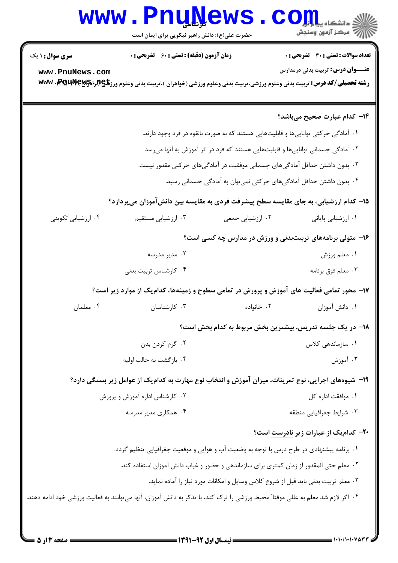## Www.PnuNews.com

| <b>سری سوال :</b> ۱ یک                                                                                                           | <b>زمان آزمون (دقیقه) : تستی : 60 ٪ تشریحی : 0</b>                                                                                 |                                                                                    | تعداد سوالات : تستي : 30 - تشريحي : 0                     |
|----------------------------------------------------------------------------------------------------------------------------------|------------------------------------------------------------------------------------------------------------------------------------|------------------------------------------------------------------------------------|-----------------------------------------------------------|
| www.PnuNews.com                                                                                                                  |                                                                                                                                    |                                                                                    | <b>عنـــوان درس:</b> تربیت بدنی درمدارس                   |
|                                                                                                                                  | <b>رشته تحصیلی/کد درس:</b> تربیت بدنی وعلوم ورزشی،تربیت بدنی وعلوم ورزشی (خواهران )،تربیت بدنی وعلوم ورز <b>تلچ(براه۱۷۹۶۰، www</b> |                                                                                    |                                                           |
|                                                                                                                                  |                                                                                                                                    |                                                                                    |                                                           |
|                                                                                                                                  |                                                                                                                                    |                                                                                    | ۱۴- کدام عبارت صحیح میباشد؟                               |
|                                                                                                                                  |                                                                                                                                    | ۰۱ آمادگی حرکتی تواناییها و قابلیتهایی هستند که به صورت بالقوه در فرد وجود دارند.  |                                                           |
|                                                                                                                                  |                                                                                                                                    | ۰۲ آمادگی جسمانی تواناییها و قابلیتهایی هستند که فرد در اثر آموزش به آنها میرسد.   |                                                           |
| ۰۳ بدون داشتن حداقل آمادگیهای جسمانی موفقیت در آمادگیهای حرکتی مقدور نیست.                                                       |                                                                                                                                    |                                                                                    |                                                           |
| ۰۴ بدون داشتن حداقل آمادگیهای حرکتی نمیتوان به آمادگی جسمانی رسید.                                                               |                                                                                                                                    |                                                                                    |                                                           |
|                                                                                                                                  | ۱۵– کدام ارزشیابی، به جای مقایسه سطح پیشرفت فردی به مقایسه بین دانشآموزان میپردازد؟                                                |                                                                                    |                                                           |
| ۰۴ ارزشیابی تکوینی                                                                                                               | ۰۳ ارزشیابی مستقیم                                                                                                                 | ۰۲ ارزشیابی جمعی                                                                   | ۰۱ ارزشیابی پایانی                                        |
|                                                                                                                                  |                                                                                                                                    |                                                                                    | ۱۶- متولی برنامههای تربیتبدنی و ورزش در مدارس چه کسی است؟ |
|                                                                                                                                  | ۰۲ مدیر مدرسه                                                                                                                      |                                                                                    | ۰۱ معلم ورزش                                              |
|                                                                                                                                  | ۰۴ کارشناس تربیت بدنی                                                                                                              |                                                                                    | ۰۳ معلم فوق برنامه                                        |
|                                                                                                                                  | ۱۷- محور تمامی فعالیت های آموزش و پرورش در تمامی سطوح و زمینهها، کدامیک از موارد زیر است؟                                          |                                                                                    |                                                           |
| ۰۴ معلمان                                                                                                                        | ۰۳ کارشناسان                                                                                                                       | ۰۲ خانواده                                                                         | ٠١ دانش آموزان                                            |
|                                                                                                                                  |                                                                                                                                    |                                                                                    | 18– در یک جلسه تدریس، بیشترین بخش مربوط به کدام بخش است؟  |
|                                                                                                                                  | ۰۲ گرم کردن بدن                                                                                                                    |                                                                                    | ۰۱ سازماندهی کلاس                                         |
|                                                                                                                                  | ۰۴ بازگشت به حالت اولیه                                                                                                            |                                                                                    | ۰۳ آموزش                                                  |
|                                                                                                                                  | ۱۹– شیوههای اجرایی، نوع تمرینات، میزان آموزش و انتخاب نوع مهارت به کدامیک از عوامل زیر بستگی دارد؟                                 |                                                                                    |                                                           |
|                                                                                                                                  | ۰۲ کارشناس اداره آموزش و پرورش                                                                                                     |                                                                                    | ٠١. موافقت اداره كل                                       |
|                                                                                                                                  | ۰۴ همکاری مدیر مدرسه                                                                                                               |                                                                                    | ۰۳ شرایط جغرافیایی منطقه                                  |
|                                                                                                                                  |                                                                                                                                    |                                                                                    | <b>۲۰</b> - کدام یک از عبارات زیر نادرست است؟             |
|                                                                                                                                  | ۰۱ برنامه پیشنهادی در طرح درس با توجه به وضعیت آب و هوایی و موقعیت جغرافیایی تنظیم گردد.                                           |                                                                                    |                                                           |
|                                                                                                                                  | <sup>۲</sup> ۰ معلم حتى المقدور از زمان كمترى براى سازماندهى و حضور و غياب دانش آموزان استفاده كند.                                |                                                                                    |                                                           |
|                                                                                                                                  |                                                                                                                                    | ۰۳ معلم تربیت بدنی باید قبل از شروع کلاس وسایل و امکانات مورد نیاز را آماده نماید. |                                                           |
| ۰۴ اگر لازم شد معلم به عللی موقتا ً محیط ورزشی را ترک کند، با تذکر به دانش آموزان، آنها میتوانند به فعالیت ورزشی خود ادامه دهند. |                                                                                                                                    |                                                                                    |                                                           |
|                                                                                                                                  |                                                                                                                                    |                                                                                    |                                                           |
|                                                                                                                                  |                                                                                                                                    |                                                                                    |                                                           |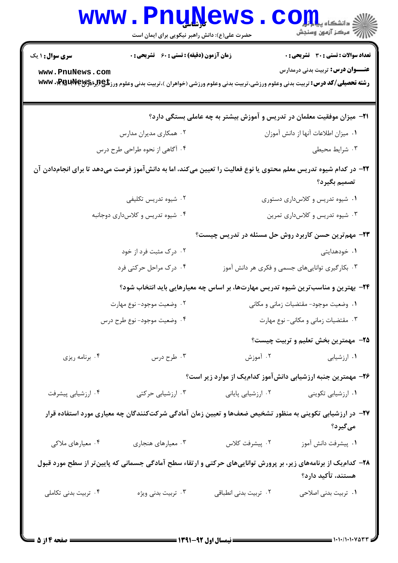|                                                                           | www.PnuNews.<br>حضرت علی(ع): دانش راهبر نیکویی برای ایمان است                                                                        |                                 | الا دانشگاه پیامبرا<br>الله مرکز آزمون وسنجش                                     |
|---------------------------------------------------------------------------|--------------------------------------------------------------------------------------------------------------------------------------|---------------------------------|----------------------------------------------------------------------------------|
| <b>سری سوال : ۱ یک</b>                                                    | <b>زمان آزمون (دقیقه) : تستی : 60 ٪ تشریحی : 0</b>                                                                                   |                                 | تعداد سوالات : تستي : 30 - تشريحي : 0                                            |
| www.PnuNews.com                                                           | <b>رشته تحصیلی/کد درس:</b> تربیت بدنی وعلوم ورزشی،تربیت بدنی وعلوم ورزشی (خواهران )،تربیت بدنی وعلوم ورز <b>تلچ(براه۲۸۶۴۹۰۰، www</b> |                                 | <b>عنــــوان درس:</b> تربیت بدنی درمدارس                                         |
|                                                                           |                                                                                                                                      |                                 | <b>۲۱</b> - میزان موفقیت معلمان در تدریس و آموزش بیشتر به چه عاملی بستگی دارد؟   |
|                                                                           | ۰۲ همکاری مدیران مدارس                                                                                                               |                                 | ٠١ ميزان اطلاعات آنها از دانش آموزان                                             |
|                                                                           | ۰۴ آگاهی از نحوه طراحی طرح درس                                                                                                       |                                 | ۰۳ شرایط محیطی                                                                   |
|                                                                           | ۲۲– در کدام شیوه تدریس معلم محتوی یا نوع فعالیت را تعیین میکند، اما به دانشآموز فرصت میدهد تا برای انجامدادن آن                      |                                 | تصميم بگيرد؟                                                                     |
| ۰۲ شیوه تدریس تکلیفی                                                      |                                                                                                                                      | ۰۱ شیوه تدریس و کلاسداری دستوری |                                                                                  |
| ۰۴ شیوه تدریس و کلاسداری دوجانبه                                          |                                                                                                                                      | ۰۳ شیوه تدریس و کلاسداری تمرین  |                                                                                  |
|                                                                           |                                                                                                                                      |                                 | ۲۳- مهم ترین حسن کاربرد روش حل مسئله در تدریس چیست؟                              |
|                                                                           | ۰۲ درک مثبت فرد از خود                                                                                                               |                                 | ۰۱ خودهدایتی                                                                     |
| ۰۴ درک مراحل حرکتی فرد<br>۰۳ بکارگیری تواناییهای جسمی و فکری هر دانش آموز |                                                                                                                                      |                                 |                                                                                  |
|                                                                           |                                                                                                                                      |                                 | ۲۴- بهترین و مناسبترین شیوه تدریس مهارتها، بر اساس چه معیارهایی باید انتخاب شود؟ |
|                                                                           | ۲. وضعيت موجود- نوع مهارت                                                                                                            |                                 | ۰۱ وضعیت موجود- مقتضیات زمانی و مکانی                                            |
|                                                                           | ۰۴ وضعیت موجود- نوع طرح درس                                                                                                          |                                 | ۰۳ مقتضیات زمانی و مکانی- نوع مهارت                                              |
|                                                                           |                                                                                                                                      |                                 | <b>۳۵</b> - مهمترین بخش تعلیم و تربیت چیست؟                                      |
| ۰۴ برنامه ریزی                                                            | ۰۳ طرح درس                                                                                                                           | ۰۲ آموزش                        | ۰۱ ارزشیابی                                                                      |
|                                                                           |                                                                                                                                      |                                 | ۲۶– مهمترین جنبه ارزشیابی دانشآموز کدامیک از موارد زیر است؟                      |
| ۰۴ ارزشیابی پیشرفت                                                        | ۰۳ ارزشیابی حرکتی                                                                                                                    | ۰۲ ارزشیابی پایانی              | ۰۱ ارزشیابی تکوینی                                                               |
|                                                                           | ۲۷– در ارزشیابی تکوینی به منظور تشخیص ضعفها و تعیین زمان آمادگی شرکتکنندگان چه معیاری مورد استفاده قرار                              |                                 | میگیرد؟                                                                          |
| ۰۴ معیارهای ملاکی                                                         | ۰۳ معیارهای هنجاری                                                                                                                   | ۰۲ پیشرفت کلاس                  | ٠١. پيشرفت دانش آموز                                                             |
|                                                                           | ۲۸– کدام یک از برنامههای زیر، بر پرورش تواناییهای حرکتی و ارتقاء سطح آمادگی جسمانی که پایین تر از سطح مورد قبول                      |                                 | هستند، تأكيد دارد؟                                                               |
| ۰۴ تربیت بدنی تکاملی                                                      | ۰۳ تربیت بدنی ویژه                                                                                                                   | ۰۲ تربیت بدنی انطباقی           | ۰۱ تربیت بدنی اصلاحی                                                             |
|                                                                           |                                                                                                                                      |                                 |                                                                                  |